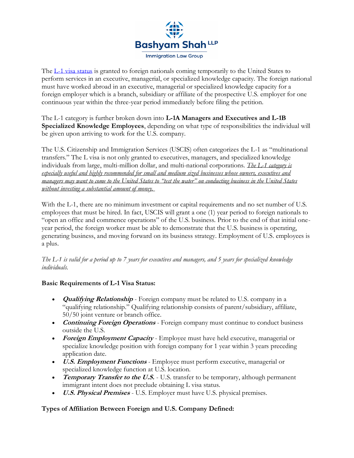

The [L-1 visa status](https://my.uscis.gov/exploremyoptions/l_visas_l_1a_and_l_1b_for_temporary_workers) is granted to foreign nationals coming temporarily to the United States to perform services in an executive, managerial, or specialized knowledge capacity. The foreign national must have worked abroad in an executive, managerial or specialized knowledge capacity for a foreign employer which is a branch, subsidiary or affiliate of the prospective U.S. employer for one continuous year within the three-year period immediately before filing the petition.

The L-1 category is further broken down into **L-1A Managers and Executives and L-1B Specialized Knowledge Employees**, depending on what type of responsibilities the individual will be given upon arriving to work for the U.S. company.

The U.S. Citizenship and Immigration Services (USCIS) often categorizes the L-1 as "multinational transfers." The L visa is not only granted to executives, managers, and specialized knowledge individuals from large, multi-million dollar, and multi-national corporations. *The L-1 category is especially useful and highly recommended for small and medium sized businesses whose owners, executives and managers may want to come to the United States to "test the water" on conducting business in the United States without investing a substantial amount of money.*

With the L-1, there are no minimum investment or capital requirements and no set number of U.S. employees that must be hired. In fact, USCIS will grant a one (1) year period to foreign nationals to "open an office and commence operations" of the U.S. business. Prior to the end of that initial oneyear period, the foreign worker must be able to demonstrate that the U.S. business is operating, generating business, and moving forward on its business strategy. Employment of U.S. employees is a plus.

*The L-1 is valid for a period up to 7 years for executives and managers, and 5 years for specialized knowledge individuals.*

# **Basic Requirements of L-1 Visa Status:**

- **Qualifying Relationship** Foreign company must be related to U.S. company in a "qualifying relationship." Qualifying relationship consists of parent/subsidiary, affiliate, 50/50 joint venture or branch office.
- **Continuing Foreign Operations** Foreign company must continue to conduct business outside the U.S.
- **Foreign Employment Capacity** Employee must have held executive, managerial or specialize knowledge position with foreign company for 1 year within 3 years preceding application date.
- **U.S. Employment Functions** Employee must perform executive, managerial or specialized knowledge function at U.S. location.
- **Temporary Transfer to the U.S.** U.S. transfer to be temporary, although permanent immigrant intent does not preclude obtaining L visa status.
- **U.S. Physical Premises** U.S. Employer must have U.S. physical premises.

# **Types of Affiliation Between Foreign and U.S. Company Defined:**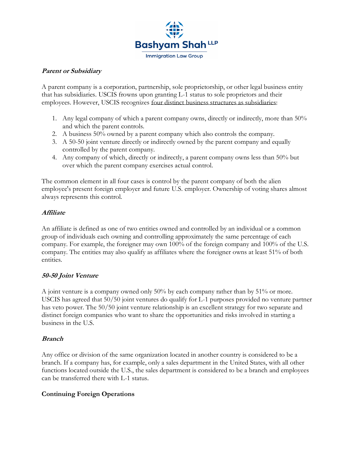

### **Parent or Subsidiary**

A parent company is a corporation, partnership, sole proprietorship, or other legal business entity that has subsidiaries. USCIS frowns upon granting L-1 status to sole proprietors and their employees. However, USCIS recognizes four distinct business structures as subsidiaries:

- 1. Any legal company of which a parent company owns, directly or indirectly, more than 50% and which the parent controls.
- 2. A business 50% owned by a parent company which also controls the company.
- 3. A 50-50 joint venture directly or indirectly owned by the parent company and equally controlled by the parent company.
- 4. Any company of which, directly or indirectly, a parent company owns less than 50% but over which the parent company exercises actual control.

The common element in all four cases is control by the parent company of both the alien employee's present foreign employer and future U.S. employer. Ownership of voting shares almost always represents this control.

### **Affiliate**

An affiliate is defined as one of two entities owned and controlled by an individual or a common group of individuals each owning and controlling approximately the same percentage of each company. For example, the foreigner may own 100% of the foreign company and 100% of the U.S. company. The entities may also qualify as affiliates where the foreigner owns at least 51% of both entities.

### **50-50 Joint Venture**

A joint venture is a company owned only 50% by each company rather than by 51% or more. USCIS has agreed that 50/50 joint ventures do qualify for L-1 purposes provided no venture partner has veto power. The 50/50 joint venture relationship is an excellent strategy for two separate and distinct foreign companies who want to share the opportunities and risks involved in starting a business in the U.S.

### **Branch**

Any office or division of the same organization located in another country is considered to be a branch. If a company has, for example, only a sales department in the United States, with all other functions located outside the U.S., the sales department is considered to be a branch and employees can be transferred there with L-1 status.

### **Continuing Foreign Operations**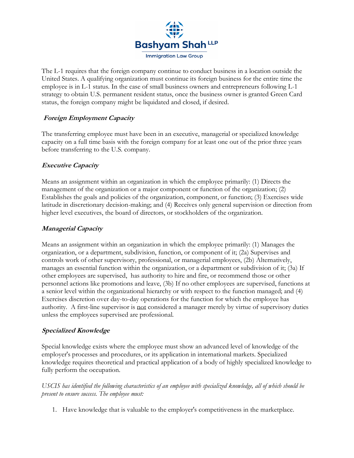

The L-1 requires that the foreign company continue to conduct business in a location outside the United States. A qualifying organization must continue its foreign business for the entire time the employee is in L-1 status. In the case of small business owners and entrepreneurs following L-1 strategy to obtain U.S. permanent resident status, once the business owner is granted Green Card status, the foreign company might be liquidated and closed, if desired.

### **Foreign Employment Capacity**

The transferring employee must have been in an executive, managerial or specialized knowledge capacity on a full time basis with the foreign company for at least one out of the prior three years before transferring to the U.S. company.

### **Executive Capacity**

Means an assignment within an organization in which the employee primarily: (1) Directs the management of the organization or a major component or function of the organization; (2) Establishes the goals and policies of the organization, component, or function; (3) Exercises wide latitude in discretionary decision-making; and (4) Receives only general supervision or direction from higher level executives, the board of directors, or stockholders of the organization.

### **Managerial Capacity**

Means an assignment within an organization in which the employee primarily: (1) Manages the organization, or a department, subdivision, function, or component of it; (2a) Supervises and controls work of other supervisory, professional, or managerial employees, (2b) Alternatively, manages an essential function within the organization, or a department or subdivision of it; (3a) If other employees are supervised, has authority to hire and fire, or recommend those or other personnel actions like promotions and leave, (3b) If no other employees are supervised, functions at a senior level within the organizational hierarchy or with respect to the function managed; and (4) Exercises discretion over day-to-day operations for the function for which the employee has authority. A first-line supervisor is not considered a manager merely by virtue of supervisory duties unless the employees supervised are professional.

### **Specialized Knowledge**

Special knowledge exists where the employee must show an advanced level of knowledge of the employer's processes and procedures, or its application in international markets. Specialized knowledge requires theoretical and practical application of a body of highly specialized knowledge to fully perform the occupation.

*USCIS has identified the following characteristics of an employee with specialized knowledge, all of which should be present to ensure success. The employee must:*

1. Have knowledge that is valuable to the employer's competitiveness in the marketplace.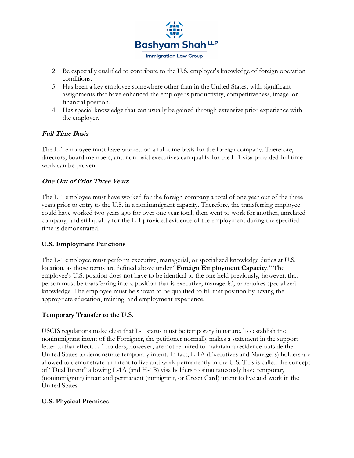

- 2. Be especially qualified to contribute to the U.S. employer's knowledge of foreign operation conditions.
- 3. Has been a key employee somewhere other than in the United States, with significant assignments that have enhanced the employer's productivity, competitiveness, image, or financial position.
- 4. Has special knowledge that can usually be gained through extensive prior experience with the employer.

# **Full Time Basis**

The L-1 employee must have worked on a full-time basis for the foreign company. Therefore, directors, board members, and non-paid executives can qualify for the L-1 visa provided full time work can be proven.

# **One Out of Prior Three Years**

The L-1 employee must have worked for the foreign company a total of one year out of the three years prior to entry to the U.S. in a nonimmigrant capacity. Therefore, the transferring employee could have worked two years ago for over one year total, then went to work for another, unrelated company, and still qualify for the L-1 provided evidence of the employment during the specified time is demonstrated.

# **U.S. Employment Functions**

The L-1 employee must perform executive, managerial, or specialized knowledge duties at U.S. location, as those terms are defined above under "**Foreign Employment Capacity**." The employee's U.S. position does not have to be identical to the one held previously, however, that person must be transferring into a position that is executive, managerial, or requires specialized knowledge. The employee must be shown to be qualified to fill that position by having the appropriate education, training, and employment experience.

# **Temporary Transfer to the U.S.**

USCIS regulations make clear that L-1 status must be temporary in nature. To establish the nonimmigrant intent of the Foreigner, the petitioner normally makes a statement in the support letter to that effect. L-1 holders, however, are not required to maintain a residence outside the United States to demonstrate temporary intent. In fact, L-1A (Executives and Managers) holders are allowed to demonstrate an intent to live and work permanently in the U.S. This is called the concept of "Dual Intent" allowing L-1A (and H-1B) visa holders to simultaneously have temporary (nonimmigrant) intent and permanent (immigrant, or Green Card) intent to live and work in the United States.

# **U.S. Physical Premises**